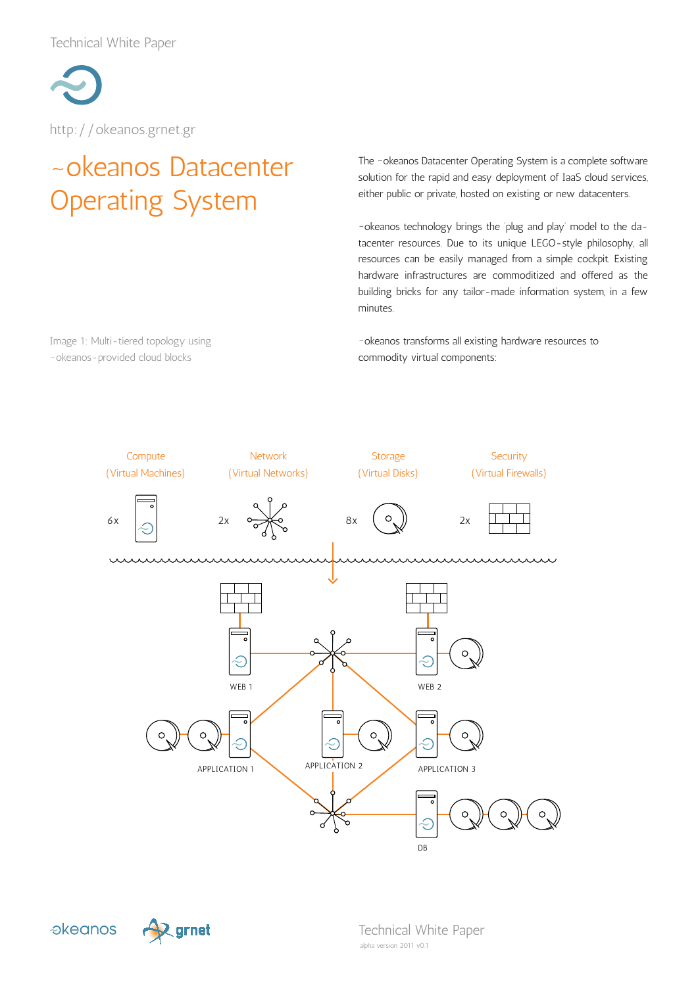Technical White Paper



http://okeanos.grnet.gr

Image 1: Multi-tiered topology using ~okeanos-provided cloud blocks

# ~okeanos Datacenter Operating System

The ~okeanos Datacenter Operating System is a complete software solution for the rapid and easy deployment of IaaS cloud services, either public or private, hosted on existing or new datacenters.

~okeanos technology brings the 'plug and play' model to the datacenter resources. Due to its unique LEGO-style philosophy, all resources can be easily managed from a simple cockpit. Existing hardware infrastructures are commoditized and offered as the building bricks for any tailor-made information system, in a few minutes.

~okeanos transforms all existing hardware resources to commodity virtual components:



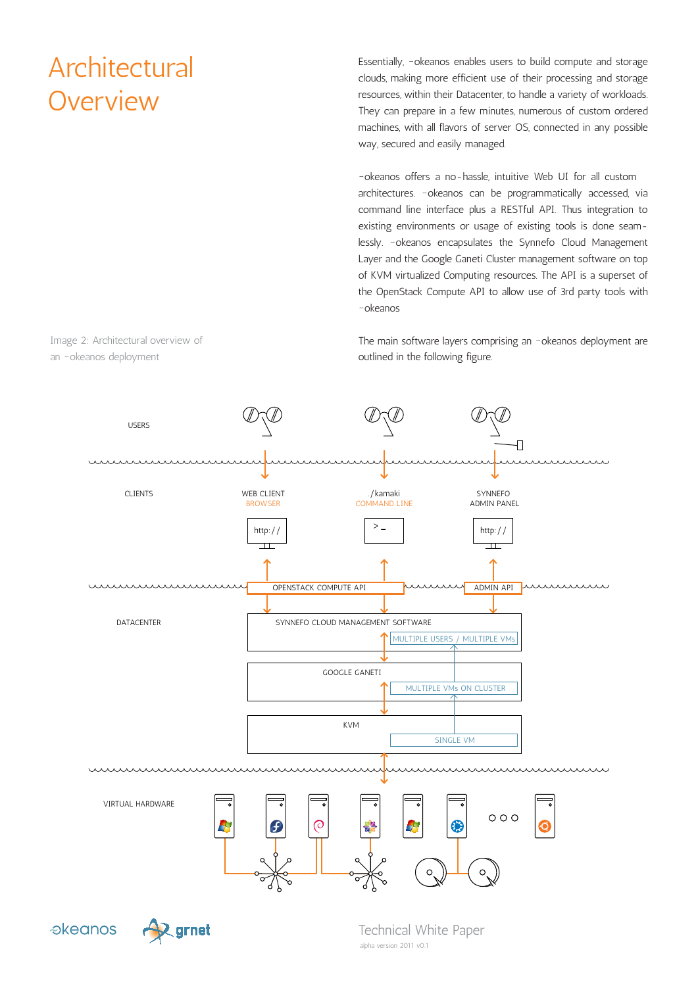# **Architectural Overview**

Essentially, ~okeanos enables users to build compute and storage clouds, making more efficient use of their processing and storage resources, within their Datacenter, to handle a variety of workloads. They can prepare in a few minutes, numerous of custom ordered machines, with all flavors of server OS, connected in any possible way, secured and easily managed.

~okeanos offers a no-hassle, intuitive Web UI for all custom architectures. ~okeanos can be programmatically accessed, via command line interface plus a RESTful API. Thus integration to existing environments or usage of existing tools is done seamlessly. ~okeanos encapsulates the Synnefo Cloud Management Layer and the Google Ganeti Cluster management software on top of KVM virtualized Computing resources. The API is a superset of the OpenStack Compute API to allow use of 3rd party tools with ~okeanos

The main software layers comprising an ~okeanos deployment are outlined in the following figure.



Image 2: Architectural overview of an ~okeanos deployment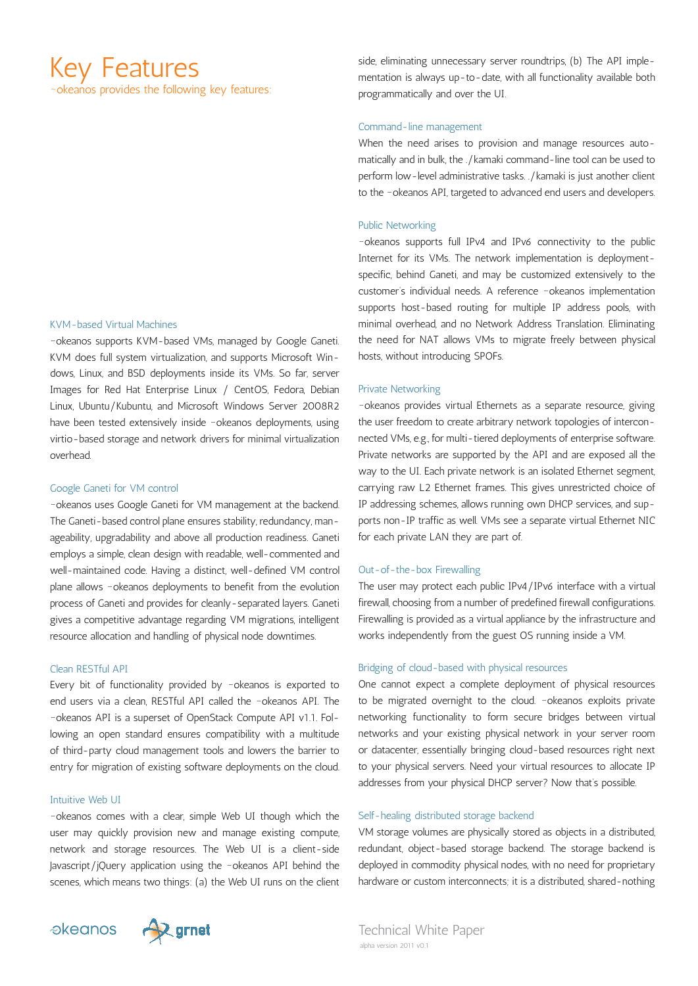# Key Features

~okeanos provides the following key features:

#### KVM-based Virtual Machines

~okeanos supports KVM-based VMs, managed by Google Ganeti. KVM does full system virtualization, and supports Microsoft Windows, Linux, and BSD deployments inside its VMs. So far, server Images for Red Hat Enterprise Linux / CentOS, Fedora, Debian Linux, Ubuntu/Kubuntu, and Microsoft Windows Server 2008R2 have been tested extensively inside ~okeanos deployments, using virtio-based storage and network drivers for minimal virtualization overhead.

#### Google Ganeti for VM control

~okeanos uses Google Ganeti for VM management at the backend. The Ganeti-based control plane ensures stability, redundancy, manageability, upgradability and above all production readiness. Ganeti employs a simple, clean design with readable, well-commented and well-maintained code. Having a distinct, well-defined VM control plane allows ~okeanos deployments to benefit from the evolution process of Ganeti and provides for cleanly-separated layers. Ganeti gives a competitive advantage regarding VM migrations, intelligent resource allocation and handling of physical node downtimes.

### Clean RESTful API

Every bit of functionality provided by ~okeanos is exported to end users via a clean, RESTful API called the ~okeanos API. The ~okeanos API is a superset of OpenStack Compute API v1.1. Following an open standard ensures compatibility with a multitude of third-party cloud management tools and lowers the barrier to entry for migration of existing software deployments on the cloud.

### Intuitive Web UI

~okeanos comes with a clear, simple Web UI though which the user may quickly provision new and manage existing compute, network and storage resources. The Web UI is a client-side Javascript/jQuery application using the ~okeanos API behind the scenes, which means two things: (a) the Web UI runs on the client side, eliminating unnecessary server roundtrips, (b) The API implementation is always up-to-date, with all functionality available both programmatically and over the UI.

## Command-line management

When the need arises to provision and manage resources automatically and in bulk, the ./kamaki command-line tool can be used to perform low-level administrative tasks. ./kamaki is just another client to the ~okeanos API, targeted to advanced end users and developers.

## Public Networking

~okeanos supports full IPv4 and IPv6 connectivity to the public Internet for its VMs. The network implementation is deploymentspecific, behind Ganeti, and may be customized extensively to the customer's individual needs. A reference ~okeanos implementation supports host-based routing for multiple IP address pools, with minimal overhead, and no Network Address Translation. Eliminating the need for NAT allows VMs to migrate freely between physical hosts, without introducing SPOFs.

#### Private Networking

~okeanos provides virtual Ethernets as a separate resource, giving the user freedom to create arbitrary network topologies of interconnected VMs, e.g., for multi-tiered deployments of enterprise software. Private networks are supported by the API and are exposed all the way to the UI. Each private network is an isolated Ethernet segment, carrying raw L2 Ethernet frames. This gives unrestricted choice of IP addressing schemes, allows running own DHCP services, and supports non-IP traffic as well. VMs see a separate virtual Ethernet NIC for each private LAN they are part of.

### Out-of-the-box Firewalling

The user may protect each public IPv4/IPv6 interface with a virtual firewall, choosing from a number of predefined firewall configurations. Firewalling is provided as a virtual appliance by the infrastructure and works independently from the guest OS running inside a VM.

#### Bridging of cloud-based with physical resources

One cannot expect a complete deployment of physical resources to be migrated overnight to the cloud. ~okeanos exploits private networking functionality to form secure bridges between virtual networks and your existing physical network in your server room or datacenter, essentially bringing cloud-based resources right next to your physical servers. Need your virtual resources to allocate IP addresses from your physical DHCP server? Now that's possible.

## Self-healing distributed storage backend

VM storage volumes are physically stored as objects in a distributed, redundant, object-based storage backend. The storage backend is deployed in commodity physical nodes, with no need for proprietary hardware or custom interconnects; it is a distributed, shared-nothing

*akeanos* 



Technical White Paper alpha version 2011 v0.1